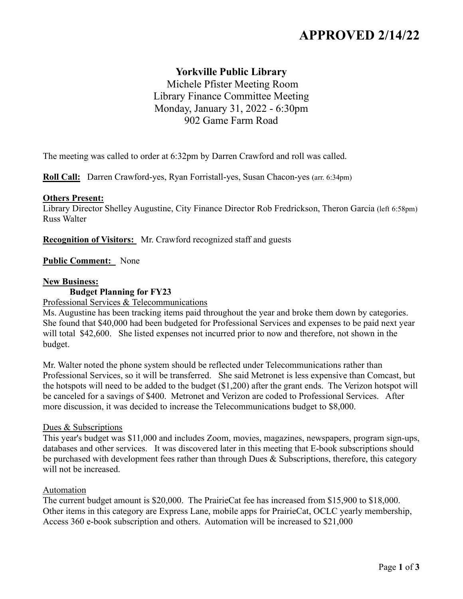# **APPROVED 2/14/22**

# **Yorkville Public Library**

Michele Pfister Meeting Room Library Finance Committee Meeting Monday, January 31, 2022 - 6:30pm 902 Game Farm Road

The meeting was called to order at 6:32pm by Darren Crawford and roll was called.

**Roll Call:** Darren Crawford-yes, Ryan Forristall-yes, Susan Chacon-yes (arr. 6:34pm)

#### **Others Present:**

Library Director Shelley Augustine, City Finance Director Rob Fredrickson, Theron Garcia (left 6:58pm) Russ Walter

**Recognition of Visitors:** Mr. Crawford recognized staff and guests

#### **Public Comment:** None

#### **New Business:**

**Budget Planning for FY23**

Professional Services & Telecommunications

Ms. Augustine has been tracking items paid throughout the year and broke them down by categories. She found that \$40,000 had been budgeted for Professional Services and expenses to be paid next year will total \$42,600. She listed expenses not incurred prior to now and therefore, not shown in the budget.

Mr. Walter noted the phone system should be reflected under Telecommunications rather than Professional Services, so it will be transferred. She said Metronet is less expensive than Comcast, but the hotspots will need to be added to the budget (\$1,200) after the grant ends. The Verizon hotspot will be canceled for a savings of \$400. Metronet and Verizon are coded to Professional Services. After more discussion, it was decided to increase the Telecommunications budget to \$8,000.

#### Dues & Subscriptions

This year's budget was \$11,000 and includes Zoom, movies, magazines, newspapers, program sign-ups, databases and other services. It was discovered later in this meeting that E-book subscriptions should be purchased with development fees rather than through Dues & Subscriptions, therefore, this category will not be increased.

#### Automation

The current budget amount is \$20,000. The PrairieCat fee has increased from \$15,900 to \$18,000. Other items in this category are Express Lane, mobile apps for PrairieCat, OCLC yearly membership, Access 360 e-book subscription and others. Automation will be increased to \$21,000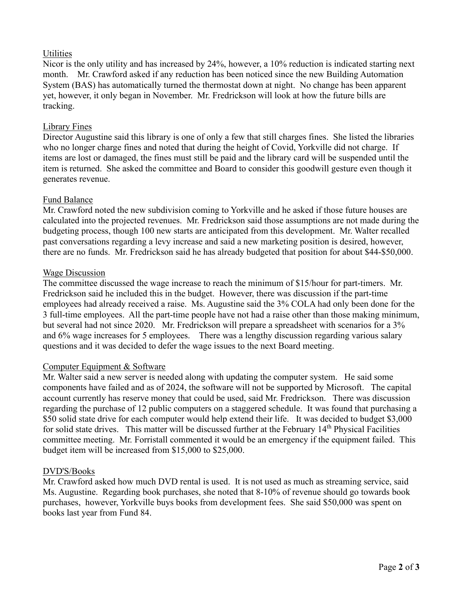# **Utilities**

Nicor is the only utility and has increased by 24%, however, a 10% reduction is indicated starting next month. Mr. Crawford asked if any reduction has been noticed since the new Building Automation System (BAS) has automatically turned the thermostat down at night. No change has been apparent yet, however, it only began in November. Mr. Fredrickson will look at how the future bills are tracking.

### Library Fines

Director Augustine said this library is one of only a few that still charges fines. She listed the libraries who no longer charge fines and noted that during the height of Covid, Yorkville did not charge. If items are lost or damaged, the fines must still be paid and the library card will be suspended until the item is returned. She asked the committee and Board to consider this goodwill gesture even though it generates revenue.

# Fund Balance

Mr. Crawford noted the new subdivision coming to Yorkville and he asked if those future houses are calculated into the projected revenues. Mr. Fredrickson said those assumptions are not made during the budgeting process, though 100 new starts are anticipated from this development. Mr. Walter recalled past conversations regarding a levy increase and said a new marketing position is desired, however, there are no funds. Mr. Fredrickson said he has already budgeted that position for about \$44-\$50,000.

#### Wage Discussion

The committee discussed the wage increase to reach the minimum of \$15/hour for part-timers. Mr. Fredrickson said he included this in the budget. However, there was discussion if the part-time employees had already received a raise. Ms. Augustine said the 3% COLA had only been done for the 3 full-time employees. All the part-time people have not had a raise other than those making minimum, but several had not since 2020. Mr. Fredrickson will prepare a spreadsheet with scenarios for a 3% and 6% wage increases for 5 employees. There was a lengthy discussion regarding various salary questions and it was decided to defer the wage issues to the next Board meeting.

#### Computer Equipment & Software

Mr. Walter said a new server is needed along with updating the computer system. He said some components have failed and as of 2024, the software will not be supported by Microsoft. The capital account currently has reserve money that could be used, said Mr. Fredrickson. There was discussion regarding the purchase of 12 public computers on a staggered schedule. It was found that purchasing a \$50 solid state drive for each computer would help extend their life. It was decided to budget \$3,000 for solid state drives. This matter will be discussed further at the February 14<sup>th</sup> Physical Facilities committee meeting. Mr. Forristall commented it would be an emergency if the equipment failed. This budget item will be increased from \$15,000 to \$25,000.

#### DVD'S/Books

Mr. Crawford asked how much DVD rental is used. It is not used as much as streaming service, said Ms. Augustine. Regarding book purchases, she noted that 8-10% of revenue should go towards book purchases, however, Yorkville buys books from development fees. She said \$50,000 was spent on books last year from Fund 84.